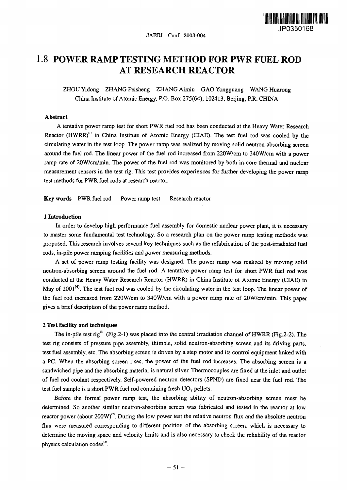

# 1.8 **POWER RAMP TESTING METHOD FOR PWR FUEL ROD AT RESEARCH REACTOR**

ZHOU Yidong ZHANG Peisheng ZHANG Aimin GAO Yongguang WANG Huarong China Institute of Atomic Energy, P.O. Box 275(64), 102413, Beijing, P.R. CHINA

### **Abstract**

A tentative power ramp test for short PWR fuel rod has been conducted at the Heavy Water Research Reactor (HWRR)<sup>(1)</sup> in China Institute of Atomic Energy (CIAE). The test fuel rod was cooled by the circulating water in the test loop. The power ramp was realized by moving solid neutron-absorbing screen around the fuel rod. The linear power of the fuel rod increased from 220W/cm to 340W/cm with a power ramp rate of 20W/cm/min. The power of the fuel rod was monitored by both in-core thermal and nuclear measurement sensors in the test rig. This test provides experiences *for further* developing the power ramp test methods for PWR fuel rods at research reactor.

**Key words** PWR fuel rod Power ramp test Research reactor

### 1 **Introduction**

In order to develop high performance fuel assembly for domestic nuclear power plant, it is necessary to master some fundamental test technology. So a research plan on the power ramp testing methods was proposed. This research involves several key techniques such as the refabrication of the post-irradiated fuel rods, in-pile power ramping facilities and power measuring methods.

A set of power ramp testing facility was designed. The power ramp was realized by moving solid neutron-absorbing screen around the **fuel** rod. A tentative power ramp test for short PWR fuel rod was conducted at the Heavy Water Research Reactor (HWRR) in China Institute of Atomic Energy (CIAE) in May of 2001<sup>(4)</sup>. The test fuel rod was cooled by the circulating water in the test loop. The linear power of the fuel rod increased from 220W/cm to 340W/cm with a power ramp rate of 20W/cm/min. This paper gives a brief description of the power ramp method.

### 2 **Test facility and techniques**

The in-pile test rig<sup>(3)</sup> (Fig.2-1) was placed into the central irradiation channel of HWRR (Fig.2-2). The test rig consists of pressure pipe assembly, thimble, solid neutron-absorbing screen and its driving parts, test fuel assembly, etc. The absorbing screen is driven by a step motor and its control equipment linked with a PC. When the absorbing screen rises, the power of the fuel rod increases. The absorbing screen is a sandwiched pipe and the absorbing material is natural silver. Thermocouples are fixed at the inlet and outlet of fuel rod coolant respectively. Self-powered neutron detectors (SPND) are fixed near the fuel rod. The test fuel sample is a short PWR fuel rod containing fresh  $UO<sub>2</sub>$  pellets.

Before the formal power ramp test, the absorbing ability of neutron-absorbing screen must be determined. So another similar neutron-absorbing screen was fabricated and tested in the reactor at low reactor power (about  $200W$ )<sup>(2)</sup>. During the low power test the relative neutron flux and the absolute neutron flux were measured corresponding to different position of the absorbing screen, which is necessary to deternine the moving space and velocity limits and is also necessary to check the reliability of the reactor physics calculation codes"'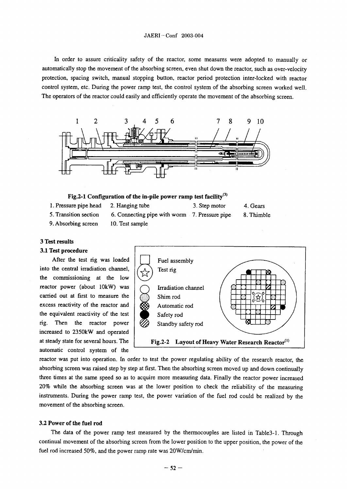### JAERI-Conf 2003-004

In order to assure criticality safety of the reactor, some measures were adopted to manually or automatically stop the movement of the absorbing screen, even shut down the reactor, such as over-velocity protection, spacing switch, manual stopping button, reactor period protection inter-locked with reactor control system, etc. During the power ramp test, the control system of the absorbing screen worked well. The operators of the reactor could easily and efficiently operate the movement of the absorbing screen.



**Fig.2-1 Configuration of the in-pile power ramp test facility <sup>3</sup> )**

1. Pressure pipe head **2. Hanging tube 3. Step motor 4. Gears**

*5.* Transition section 6. Connecting pipe with worm 7. Pressure pipe 8. Thimble

9. Absorbing screen 10. Test sample

## **3 Test results**

### **3.1 Test procedure**

**After the test rig was loaded** I] **Fuel assembly** into the central irradiation channel,  $\left(\begin{matrix} 1 \end{matrix}\right)$  Test rig **the commissioning at the low reactor power (about 10kW) was**  $\int$  $\int$  **<b>Irradiation channel** carried out at first to measure the  $\langle \hat{\otimes} \rangle$  Shim rod excess reactivity of the reactor and  $\bigotimes$  Automatic rod the equivalent reactivity of the test  $\Big|\Big|$  Safety rod rig. Then the reactor power  $\mathcal{B}$  Standby safety rod increased to 2350kW and operated automatic control system of the



reactor was put into operation. In order to test the power regulating ability of the research reactor, the absorbing screen was raised step by step at first. Then the absorbing screen moved up and down continually three times at the same speed so as to acquire more measuring data. Finally the reactor power increased 20% while the absorbing screen was at the lower position to check the reliability of the measuring instruments. During the power ramp test, the power variation of the fuel rod could be realized by the movement of the absorbing screen.

### **3.2 Power of the fuel rod**

The data of the power ramp test measured by the thermocouples are listed in Table3-1. Through continual movement of the absorbing screen from the lower position to the upper position, the power of the fuel rod increased *50%,* **and the power** ramp rate was 2W/cm/mni.